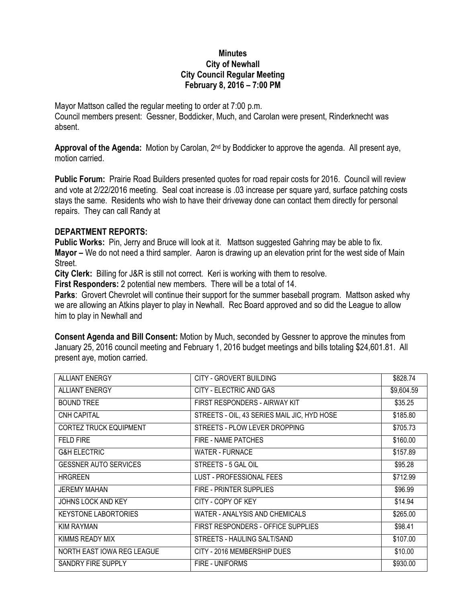## **Minutes City of Newhall City Council Regular Meeting February 8, 2016 – 7:00 PM**

Mayor Mattson called the regular meeting to order at 7:00 p.m. Council members present: Gessner, Boddicker, Much, and Carolan were present, Rinderknecht was absent.

**Approval of the Agenda:** Motion by Carolan, 2nd by Boddicker to approve the agenda. All present aye, motion carried.

**Public Forum:** Prairie Road Builders presented quotes for road repair costs for 2016. Council will review and vote at 2/22/2016 meeting. Seal coat increase is .03 increase per square yard, surface patching costs stays the same. Residents who wish to have their driveway done can contact them directly for personal repairs. They can call Randy at

## **DEPARTMENT REPORTS:**

**Public Works:** Pin, Jerry and Bruce will look at it. Mattson suggested Gahring may be able to fix. **Mayor –** We do not need a third sampler. Aaron is drawing up an elevation print for the west side of Main Street.

**City Clerk:** Billing for J&R is still not correct. Keri is working with them to resolve.

**First Responders:** 2 potential new members. There will be a total of 14.

**Parks**: Grovert Chevrolet will continue their support for the summer baseball program. Mattson asked why we are allowing an Atkins player to play in Newhall. Rec Board approved and so did the League to allow him to play in Newhall and

**Consent Agenda and Bill Consent:** Motion by Much, seconded by Gessner to approve the minutes from January 25, 2016 council meeting and February 1, 2016 budget meetings and bills totaling \$24,601.81. All present aye, motion carried.

| <b>ALLIANT ENERGY</b>         | CITY - GROVERT BUILDING                     | \$828.74   |
|-------------------------------|---------------------------------------------|------------|
| <b>ALLIANT ENERGY</b>         | CITY - ELECTRIC AND GAS                     | \$9,604.59 |
| <b>BOUND TREE</b>             | FIRST RESPONDERS - AIRWAY KIT               | \$35.25    |
| CNH CAPITAL                   | STREETS - OIL, 43 SERIES MAIL JIC, HYD HOSE | \$185.80   |
| <b>CORTEZ TRUCK EQUIPMENT</b> | STREETS - PLOW LEVER DROPPING               | \$705.73   |
| <b>FELD FIRE</b>              | FIRE - NAME PATCHES                         | \$160.00   |
| <b>G&amp;H ELECTRIC</b>       | <b>WATER - FURNACE</b>                      | \$157.89   |
| <b>GESSNER AUTO SERVICES</b>  | STREETS - 5 GAL OIL                         | \$95.28    |
| <b>HRGREEN</b>                | LUST - PROFESSIONAL FEES                    | \$712.99   |
| <b>JEREMY MAHAN</b>           | FIRE - PRINTER SUPPLIES                     | \$96.99    |
| JOHNS LOCK AND KEY            | CITY - COPY OF KEY                          | \$14.94    |
| <b>KEYSTONE LABORTORIES</b>   | WATER - ANALYSIS AND CHEMICALS              | \$265.00   |
| <b>KIM RAYMAN</b>             | FIRST RESPONDERS - OFFICE SUPPLIES          | \$98.41    |
| KIMMS READY MIX               | STREETS - HAULING SALT/SAND                 | \$107.00   |
| NORTH EAST IOWA REG LEAGUE    | CITY - 2016 MEMBERSHIP DUES                 | \$10.00    |
| SANDRY FIRE SUPPLY            | <b>FIRE - UNIFORMS</b>                      | \$930.00   |